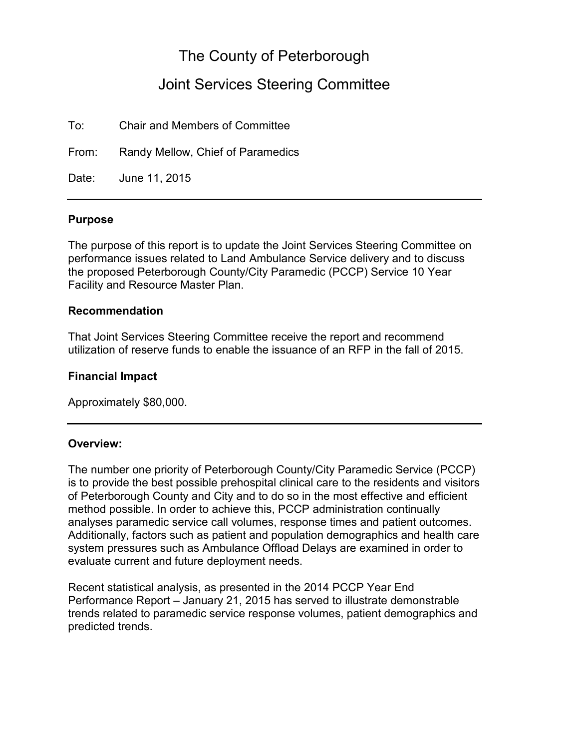# The County of Peterborough

# Joint Services Steering Committee

To: Chair and Members of Committee

From: Randy Mellow, Chief of Paramedics

Date: June 11, 2015

#### **Purpose**

The purpose of this report is to update the Joint Services Steering Committee on performance issues related to Land Ambulance Service delivery and to discuss the proposed Peterborough County/City Paramedic (PCCP) Service 10 Year Facility and Resource Master Plan.

#### **Recommendation**

That Joint Services Steering Committee receive the report and recommend utilization of reserve funds to enable the issuance of an RFP in the fall of 2015.

#### **Financial Impact**

Approximately \$80,000.

### **Overview:**

The number one priority of Peterborough County/City Paramedic Service (PCCP) is to provide the best possible prehospital clinical care to the residents and visitors of Peterborough County and City and to do so in the most effective and efficient method possible. In order to achieve this, PCCP administration continually analyses paramedic service call volumes, response times and patient outcomes. Additionally, factors such as patient and population demographics and health care system pressures such as Ambulance Offload Delays are examined in order to evaluate current and future deployment needs.

Recent statistical analysis, as presented in the 2014 PCCP Year End Performance Report – January 21, 2015 has served to illustrate demonstrable trends related to paramedic service response volumes, patient demographics and predicted trends.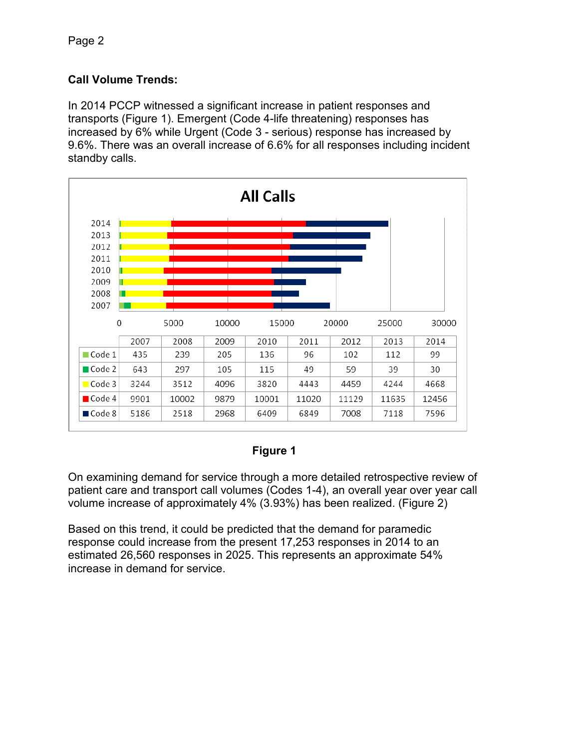## **Call Volume Trends:**

In 2014 PCCP witnessed a significant increase in patient responses and transports (Figure 1). Emergent (Code 4-life threatening) responses has increased by 6% while Urgent (Code 3 - serious) response has increased by 9.6%. There was an overall increase of 6.6% for all responses including incident standby calls.



### **Figure 1**

On examining demand for service through a more detailed retrospective review of patient care and transport call volumes (Codes 1-4), an overall year over year call volume increase of approximately 4% (3.93%) has been realized. (Figure 2)

Based on this trend, it could be predicted that the demand for paramedic response could increase from the present 17,253 responses in 2014 to an estimated 26,560 responses in 2025. This represents an approximate 54% increase in demand for service.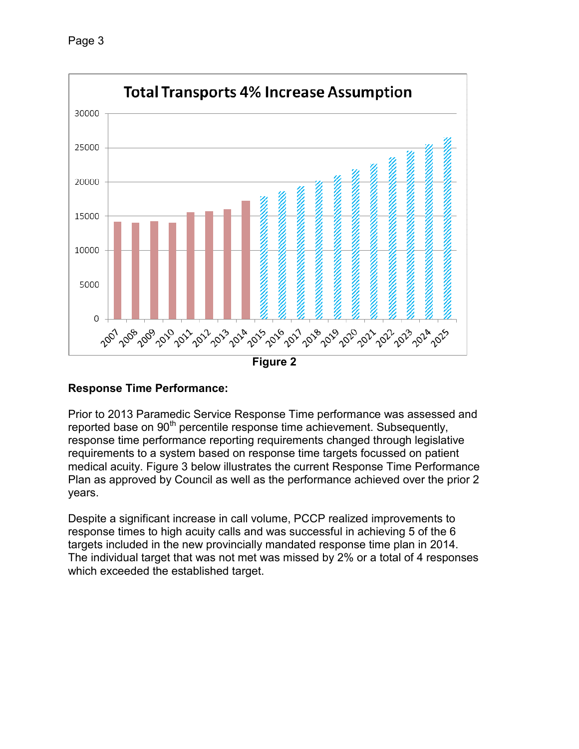

## **Response Time Performance:**

Prior to 2013 Paramedic Service Response Time performance was assessed and reported base on 90<sup>th</sup> percentile response time achievement. Subsequently, response time performance reporting requirements changed through legislative requirements to a system based on response time targets focussed on patient medical acuity. Figure 3 below illustrates the current Response Time Performance Plan as approved by Council as well as the performance achieved over the prior 2 years.

Despite a significant increase in call volume, PCCP realized improvements to response times to high acuity calls and was successful in achieving 5 of the 6 targets included in the new provincially mandated response time plan in 2014. The individual target that was not met was missed by 2% or a total of 4 responses which exceeded the established target.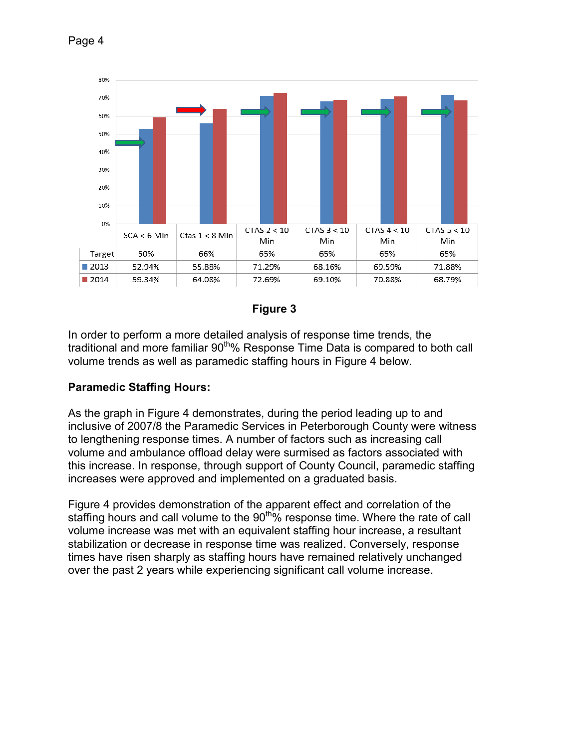



**Figure 3** 

In order to perform a more detailed analysis of response time trends, the traditional and more familiar 90<sup>th</sup>% Response Time Data is compared to both call volume trends as well as paramedic staffing hours in Figure 4 below.

## **Paramedic Staffing Hours:**

As the graph in Figure 4 demonstrates, during the period leading up to and inclusive of 2007/8 the Paramedic Services in Peterborough County were witness to lengthening response times. A number of factors such as increasing call volume and ambulance offload delay were surmised as factors associated with this increase. In response, through support of County Council, paramedic staffing increases were approved and implemented on a graduated basis.

Figure 4 provides demonstration of the apparent effect and correlation of the staffing hours and call volume to the 90<sup>th</sup>% response time. Where the rate of call volume increase was met with an equivalent staffing hour increase, a resultant stabilization or decrease in response time was realized. Conversely, response times have risen sharply as staffing hours have remained relatively unchanged over the past 2 years while experiencing significant call volume increase.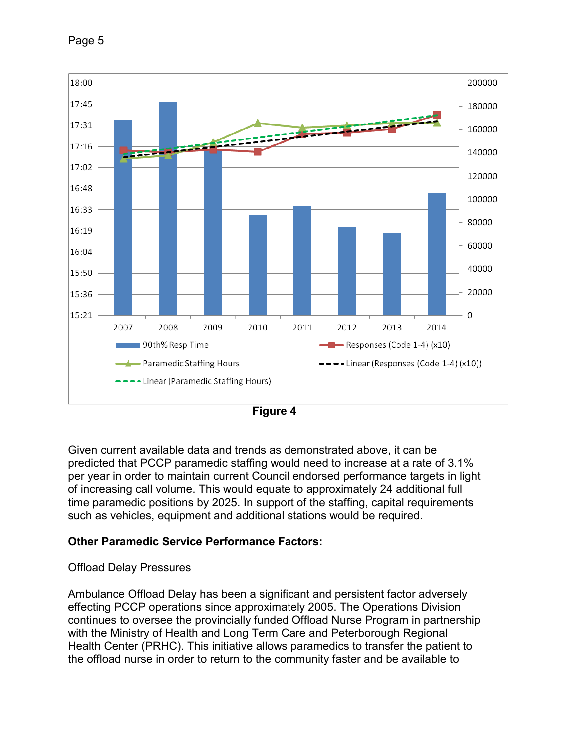

**Figure 4** 

Given current available data and trends as demonstrated above, it can be predicted that PCCP paramedic staffing would need to increase at a rate of 3.1% per year in order to maintain current Council endorsed performance targets in light of increasing call volume. This would equate to approximately 24 additional full time paramedic positions by 2025. In support of the staffing, capital requirements such as vehicles, equipment and additional stations would be required.

## **Other Paramedic Service Performance Factors:**

### Offload Delay Pressures

Ambulance Offload Delay has been a significant and persistent factor adversely effecting PCCP operations since approximately 2005. The Operations Division continues to oversee the provincially funded Offload Nurse Program in partnership with the Ministry of Health and Long Term Care and Peterborough Regional Health Center (PRHC). This initiative allows paramedics to transfer the patient to the offload nurse in order to return to the community faster and be available to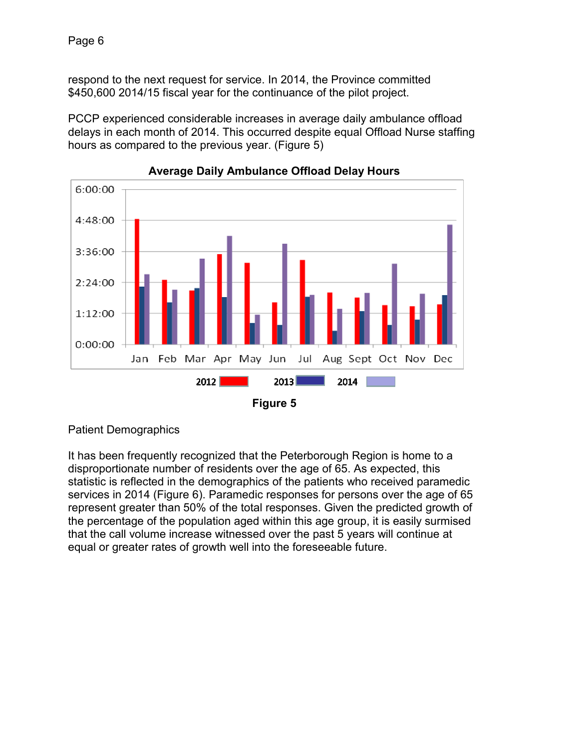respond to the next request for service. In 2014, the Province committed \$450,600 2014/15 fiscal year for the continuance of the pilot project.

PCCP experienced considerable increases in average daily ambulance offload delays in each month of 2014. This occurred despite equal Offload Nurse staffing hours as compared to the previous year. (Figure 5)



**Average Daily Ambulance Offload Delay Hours** 

Patient Demographics

It has been frequently recognized that the Peterborough Region is home to a disproportionate number of residents over the age of 65. As expected, this statistic is reflected in the demographics of the patients who received paramedic services in 2014 (Figure 6). Paramedic responses for persons over the age of 65 represent greater than 50% of the total responses. Given the predicted growth of the percentage of the population aged within this age group, it is easily surmised that the call volume increase witnessed over the past 5 years will continue at equal or greater rates of growth well into the foreseeable future.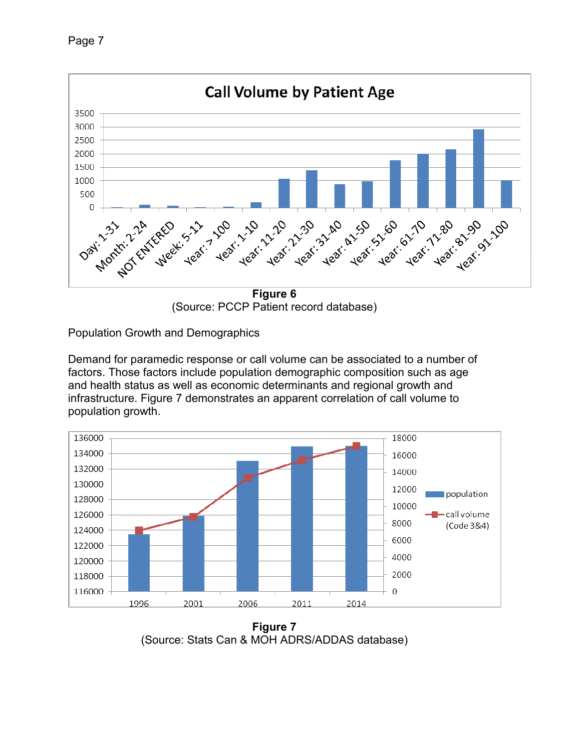Page 7



(Source: PCCP Patient record database)

Population Growth and Demographics

Demand for paramedic response or call volume can be associated to a number of factors. Those factors include population demographic composition such as age and health status as well as economic determinants and regional growth and infrastructure. Figure 7 demonstrates an apparent correlation of call volume to population growth.



**Figure 7**  (Source: Stats Can & MOH ADRS/ADDAS database)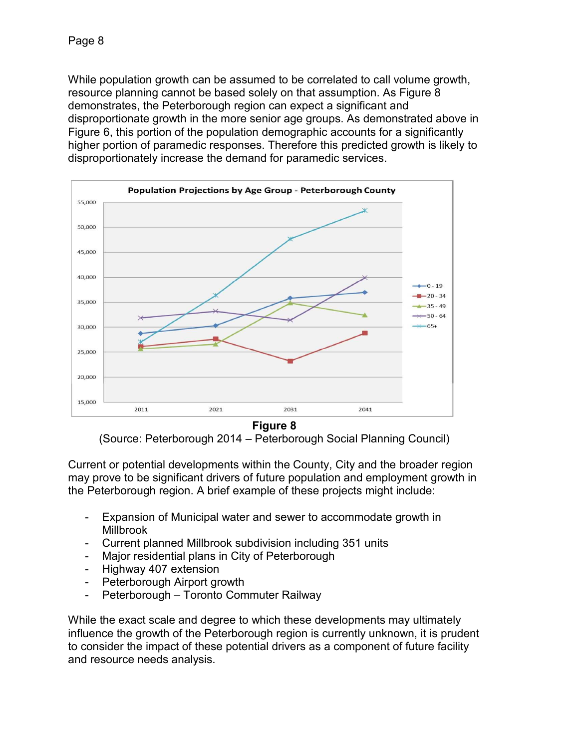While population growth can be assumed to be correlated to call volume growth, resource planning cannot be based solely on that assumption. As Figure 8 demonstrates, the Peterborough region can expect a significant and disproportionate growth in the more senior age groups. As demonstrated above in Figure 6, this portion of the population demographic accounts for a significantly higher portion of paramedic responses. Therefore this predicted growth is likely to disproportionately increase the demand for paramedic services.



**Figure 8** 

(Source: Peterborough 2014 – Peterborough Social Planning Council)

Current or potential developments within the County, City and the broader region may prove to be significant drivers of future population and employment growth in the Peterborough region. A brief example of these projects might include:

- Expansion of Municipal water and sewer to accommodate growth in Millbrook
- Current planned Millbrook subdivision including 351 units
- Major residential plans in City of Peterborough
- Highway 407 extension
- Peterborough Airport growth
- Peterborough Toronto Commuter Railway

While the exact scale and degree to which these developments may ultimately influence the growth of the Peterborough region is currently unknown, it is prudent to consider the impact of these potential drivers as a component of future facility and resource needs analysis.